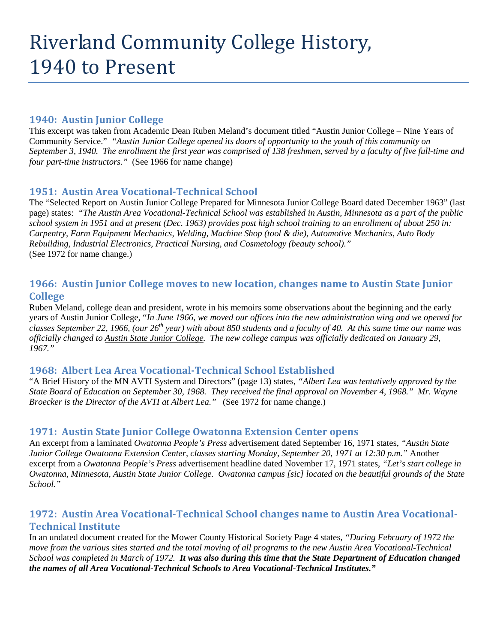# Riverland Community College History, 1940 to Present

### **1940: Austin Junior College**

This excerpt was taken from Academic Dean Ruben Meland's document titled "Austin Junior College – Nine Years of Community Service." *"Austin Junior College opened its doors of opportunity to the youth of this community on September 3, 1940. The enrollment the first year was comprised of 138 freshmen, served by a faculty of five full-time and four part-time instructors."* (See 1966 for name change)

# **1951: Austin Area Vocational-Technical School**

The "Selected Report on Austin Junior College Prepared for Minnesota Junior College Board dated December 1963" (last page) states: *"The Austin Area Vocational-Technical School was established in Austin, Minnesota as a part of the public school system in 1951 and at present (Dec. 1963) provides post high school training to an enrollment of about 250 in: Carpentry, Farm Equipment Mechanics, Welding, Machine Shop (tool & die), Automotive Mechanics, Auto Body Rebuilding, Industrial Electronics, Practical Nursing, and Cosmetology (beauty school)."*  (See 1972 for name change.)

# **1966: Austin Junior College moves to new location, changes name to Austin State Junior College**

Ruben Meland, college dean and president, wrote in his memoirs some observations about the beginning and the early years of Austin Junior College, "*In June 1966, we moved our offices into the new administration wing and we opened for classes September 22, 1966, (our 26th year) with about 850 students and a faculty of 40. At this same time our name was officially changed to Austin State Junior College. The new college campus was officially dedicated on January 29, 1967."*

### **1968: Albert Lea Area Vocational-Technical School Established**

"A Brief History of the MN AVTI System and Directors" (page 13) states, *"Albert Lea was tentatively approved by the State Board of Education on September 30, 1968. They received the final approval on November 4, 1968." Mr. Wayne Broecker is the Director of the AVTI at Albert Lea."* (See 1972 for name change.)

### **1971: Austin State Junior College Owatonna Extension Center opens**

An excerpt from a laminated *Owatonna People's Press* advertisement dated September 16, 1971 states, *"Austin State Junior College Owatonna Extension Center, classes starting Monday, September 20, 1971 at 12:30 p.m."* Another excerpt from a *Owatonna People's Press* advertisement headline dated November 17, 1971 states, *"Let's start college in Owatonna, Minnesota, Austin State Junior College. Owatonna campus [sic] located on the beautiful grounds of the State School."*

# **1972: Austin Area Vocational-Technical School changes name to Austin Area Vocational-Technical Institute**

In an undated document created for the Mower County Historical Society Page 4 states, *"During February of 1972 the move from the various sites started and the total moving of all programs to the new Austin Area Vocational-Technical School was completed in March of 1972. It was also during this time that the State Department of Education changed the names of all Area Vocational-Technical Schools to Area Vocational-Technical Institutes."*